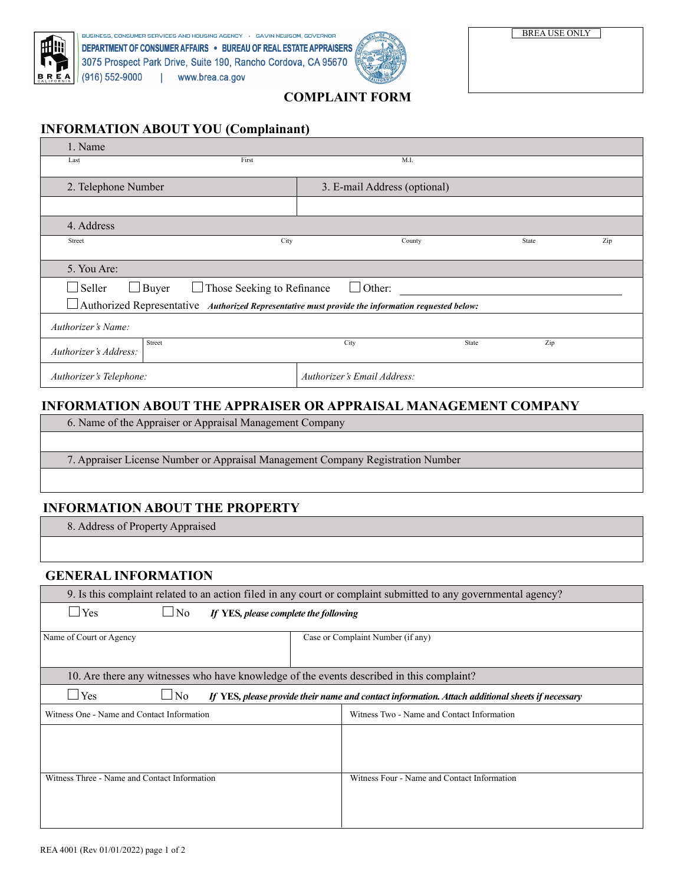



## **COMPLAINT FORM**

## **INFORMATION ABOUT YOU (Complainant)**

| 1. Name                                                                                                  |                              |       |     |  |
|----------------------------------------------------------------------------------------------------------|------------------------------|-------|-----|--|
| First<br>Last                                                                                            | M.I.                         |       |     |  |
|                                                                                                          | 3. E-mail Address (optional) |       |     |  |
| 2. Telephone Number                                                                                      |                              |       |     |  |
|                                                                                                          |                              |       |     |  |
| 4. Address                                                                                               |                              |       |     |  |
| City<br>Street                                                                                           | County                       | State | Zip |  |
|                                                                                                          |                              |       |     |  |
| 5. You Are:                                                                                              |                              |       |     |  |
| $\Box$ Other:<br>$\Box$ Seller<br>$\Box$ Buyer<br>$\Box$ Those Seeking to Refinance                      |                              |       |     |  |
| $\Box$ Authorized Representative Authorized Representative must provide the information requested below: |                              |       |     |  |
| Authorizer's Name:                                                                                       |                              |       |     |  |
| Street<br>Authorizer's Address:                                                                          | City<br>State                | Zip   |     |  |
| Authorizer's Telephone:                                                                                  | Authorizer's Email Address:  |       |     |  |

# **INFORMATION ABOUT THE APPRAISER OR APPRAISAL MANAGEMENT COMPANY**

6. Name of the Appraiser or Appraisal Management Company

7. Appraiser License Number or Appraisal Management Company Registration Number

## **INFORMATION ABOUT THE PROPERTY**

8. Address of Property Appraised

#### **GENERAL INFORMATION**

| 9. Is this complaint related to an action filed in any court or complaint submitted to any governmental agency?             |                                             |  |  |  |
|-----------------------------------------------------------------------------------------------------------------------------|---------------------------------------------|--|--|--|
| $\exists$ Yes<br>$\Box$ No<br>If YES, please complete the following                                                         |                                             |  |  |  |
| Name of Court or Agency                                                                                                     | Case or Complaint Number (if any)           |  |  |  |
| 10. Are there any witnesses who have knowledge of the events described in this complaint?                                   |                                             |  |  |  |
| $\Box$ Yes<br>$\Box$ No<br>If YES, please provide their name and contact information. Attach additional sheets if necessary |                                             |  |  |  |
| Witness One - Name and Contact Information                                                                                  | Witness Two - Name and Contact Information  |  |  |  |
|                                                                                                                             |                                             |  |  |  |
| Witness Three - Name and Contact Information                                                                                | Witness Four - Name and Contact Information |  |  |  |

BREA USE ONLY